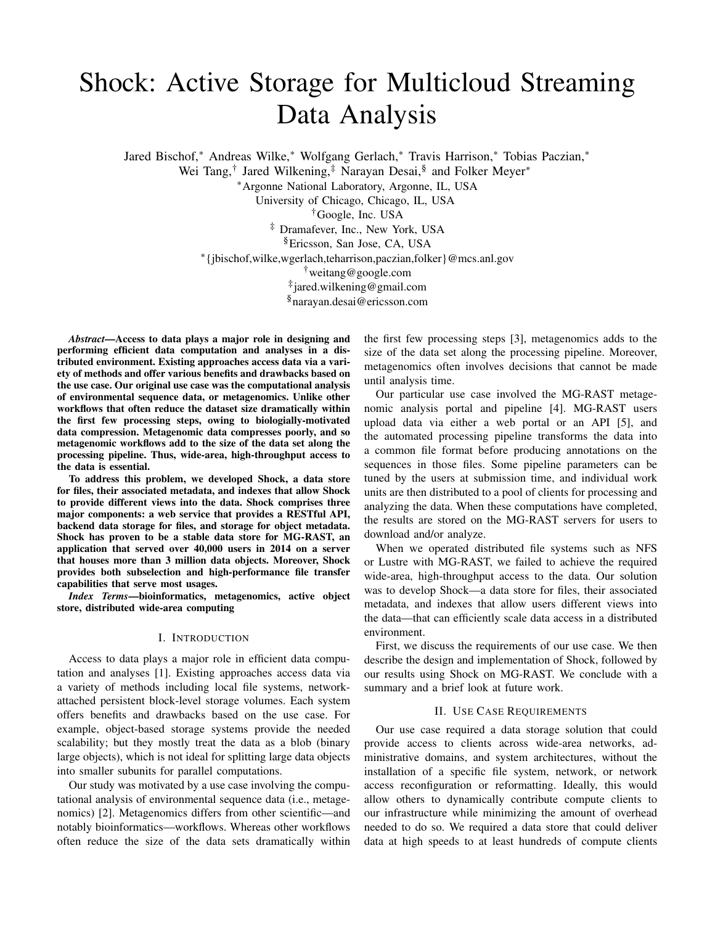# Shock: Active Storage for Multicloud Streaming Data Analysis

Jared Bischof,<sup>∗</sup> Andreas Wilke,<sup>∗</sup> Wolfgang Gerlach,<sup>∗</sup> Travis Harrison,<sup>∗</sup> Tobias Paczian,<sup>∗</sup>

Wei Tang,<sup>†</sup> Jared Wilkening,<sup>‡</sup> Narayan Desai,<sup>§</sup> and Folker Meyer<sup>\*</sup>

<sup>∗</sup>Argonne National Laboratory, Argonne, IL, USA

University of Chicago, Chicago, IL, USA

†Google, Inc. USA

‡ Dramafever, Inc., New York, USA

§Ericsson, San Jose, CA, USA

∗ {jbischof,wilke,wgerlach,teharrison,paczian,folker}@mcs.anl.gov

†weitang@google.com

‡ jared.wilkening@gmail.com

§narayan.desai@ericsson.com

*Abstract*—Access to data plays a major role in designing and performing efficient data computation and analyses in a distributed environment. Existing approaches access data via a variety of methods and offer various benefits and drawbacks based on the use case. Our original use case was the computational analysis of environmental sequence data, or metagenomics. Unlike other workflows that often reduce the dataset size dramatically within the first few processing steps, owing to biologially-motivated data compression. Metagenomic data compresses poorly, and so metagenomic workflows add to the size of the data set along the processing pipeline. Thus, wide-area, high-throughput access to the data is essential.

To address this problem, we developed Shock, a data store for files, their associated metadata, and indexes that allow Shock to provide different views into the data. Shock comprises three major components: a web service that provides a RESTful API, backend data storage for files, and storage for object metadata. Shock has proven to be a stable data store for MG-RAST, an application that served over 40,000 users in 2014 on a server that houses more than 3 million data objects. Moreover, Shock provides both subselection and high-performance file transfer capabilities that serve most usages.

*Index Terms*—bioinformatics, metagenomics, active object store, distributed wide-area computing

#### I. INTRODUCTION

Access to data plays a major role in efficient data computation and analyses [1]. Existing approaches access data via a variety of methods including local file systems, networkattached persistent block-level storage volumes. Each system offers benefits and drawbacks based on the use case. For example, object-based storage systems provide the needed scalability; but they mostly treat the data as a blob (binary large objects), which is not ideal for splitting large data objects into smaller subunits for parallel computations.

Our study was motivated by a use case involving the computational analysis of environmental sequence data (i.e., metagenomics) [2]. Metagenomics differs from other scientific—and notably bioinformatics—workflows. Whereas other workflows often reduce the size of the data sets dramatically within the first few processing steps [3], metagenomics adds to the size of the data set along the processing pipeline. Moreover, metagenomics often involves decisions that cannot be made until analysis time.

Our particular use case involved the MG-RAST metagenomic analysis portal and pipeline [4]. MG-RAST users upload data via either a web portal or an API [5], and the automated processing pipeline transforms the data into a common file format before producing annotations on the sequences in those files. Some pipeline parameters can be tuned by the users at submission time, and individual work units are then distributed to a pool of clients for processing and analyzing the data. When these computations have completed, the results are stored on the MG-RAST servers for users to download and/or analyze.

When we operated distributed file systems such as NFS or Lustre with MG-RAST, we failed to achieve the required wide-area, high-throughput access to the data. Our solution was to develop Shock—a data store for files, their associated metadata, and indexes that allow users different views into the data—that can efficiently scale data access in a distributed environment.

First, we discuss the requirements of our use case. We then describe the design and implementation of Shock, followed by our results using Shock on MG-RAST. We conclude with a summary and a brief look at future work.

## II. USE CASE REQUIREMENTS

Our use case required a data storage solution that could provide access to clients across wide-area networks, administrative domains, and system architectures, without the installation of a specific file system, network, or network access reconfiguration or reformatting. Ideally, this would allow others to dynamically contribute compute clients to our infrastructure while minimizing the amount of overhead needed to do so. We required a data store that could deliver data at high speeds to at least hundreds of compute clients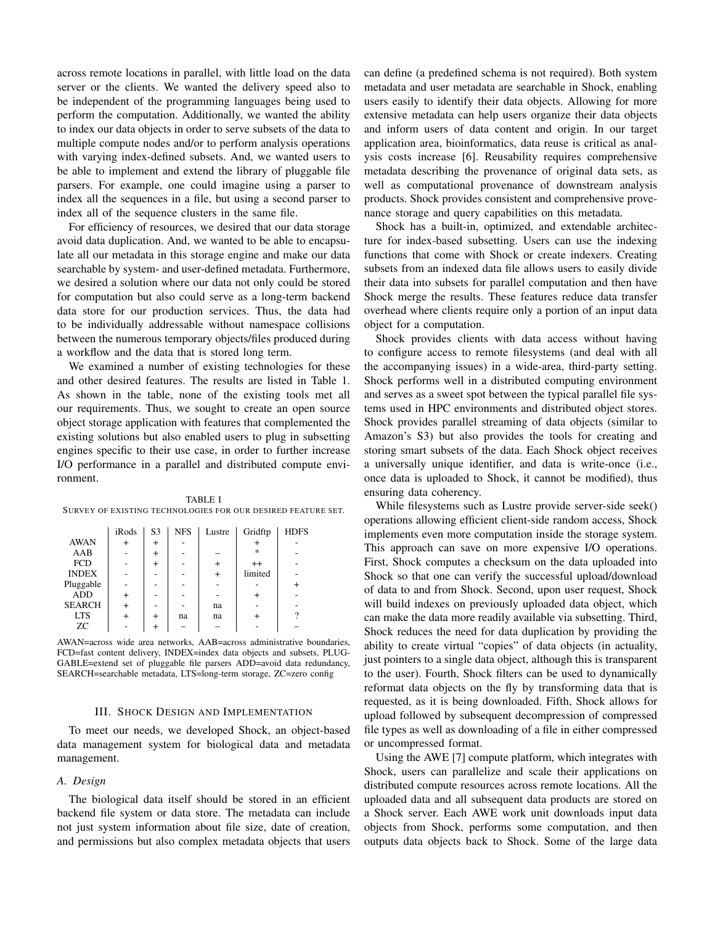across remote locations in parallel, with little load on the data server or the clients. We wanted the delivery speed also to be independent of the programming languages being used to perform the computation. Additionally, we wanted the ability to index our data objects in order to serve subsets of the data to multiple compute nodes and/or to perform analysis operations with varying index-defined subsets. And, we wanted users to be able to implement and extend the library of pluggable file parsers. For example, one could imagine using a parser to index all the sequences in a file, but using a second parser to index all of the sequence clusters in the same file.

For efficiency of resources, we desired that our data storage avoid data duplication. And, we wanted to be able to encapsulate all our metadata in this storage engine and make our data searchable by system- and user-defined metadata. Furthermore, we desired a solution where our data not only could be stored for computation but also could serve as a long-term backend data store for our production services. Thus, the data had to be individually addressable without namespace collisions between the numerous temporary objects/files produced during a workflow and the data that is stored long term.

We examined a number of existing technologies for these and other desired features. The results are listed in Table 1. As shown in the table, none of the existing tools met all our requirements. Thus, we sought to create an open source object storage application with features that complemented the existing solutions but also enabled users to plug in subsetting engines specific to their use case, in order to further increase I/O performance in a parallel and distributed compute environment.

| TABLE I                                                      |  |
|--------------------------------------------------------------|--|
| SURVEY OF EXISTING TECHNOLOGIES FOR OUR DESIRED FEATURE SET. |  |

|               | iRods    | S <sub>3</sub> | <b>NFS</b> | Lustre       | Gridftp       | <b>HDFS</b> |
|---------------|----------|----------------|------------|--------------|---------------|-------------|
| <b>AWAN</b>   | $\pm$    | $\mathrm{+}$   |            |              |               |             |
| AAB           |          |                |            |              | $\frac{1}{2}$ |             |
| <b>FCD</b>    |          |                |            |              | $^{++}$       |             |
| <b>INDEX</b>  |          |                |            | $\mathrm{+}$ | limited       |             |
| Pluggable     |          |                |            |              |               |             |
| <b>ADD</b>    | +        |                |            |              |               |             |
| <b>SEARCH</b> | $\,{}^+$ |                |            | na           |               |             |
| <b>LTS</b>    |          |                | na         | na           |               |             |
| ZC.           |          |                |            |              |               |             |

AWAN=across wide area networks, AAB=across administrative boundaries, FCD=fast content delivery, INDEX=index data objects and subsets, PLUG-GABLE=extend set of pluggable file parsers ADD=avoid data redundancy, SEARCH=searchable metadata, LTS=long-term storage, ZC=zero config

## III. SHOCK DESIGN AND IMPLEMENTATION

To meet our needs, we developed Shock, an object-based data management system for biological data and metadata management.

## *A. Design*

The biological data itself should be stored in an efficient backend file system or data store. The metadata can include not just system information about file size, date of creation, and permissions but also complex metadata objects that users can define (a predefined schema is not required). Both system metadata and user metadata are searchable in Shock, enabling users easily to identify their data objects. Allowing for more extensive metadata can help users organize their data objects and inform users of data content and origin. In our target application area, bioinformatics, data reuse is critical as analysis costs increase [6]. Reusability requires comprehensive metadata describing the provenance of original data sets, as well as computational provenance of downstream analysis products. Shock provides consistent and comprehensive provenance storage and query capabilities on this metadata.

Shock has a built-in, optimized, and extendable architecture for index-based subsetting. Users can use the indexing functions that come with Shock or create indexers. Creating subsets from an indexed data file allows users to easily divide their data into subsets for parallel computation and then have Shock merge the results. These features reduce data transfer overhead where clients require only a portion of an input data object for a computation.

Shock provides clients with data access without having to configure access to remote filesystems (and deal with all the accompanying issues) in a wide-area, third-party setting. Shock performs well in a distributed computing environment and serves as a sweet spot between the typical parallel file systems used in HPC environments and distributed object stores. Shock provides parallel streaming of data objects (similar to Amazon's S3) but also provides the tools for creating and storing smart subsets of the data. Each Shock object receives a universally unique identifier, and data is write-once (i.e., once data is uploaded to Shock, it cannot be modified), thus ensuring data coherency.

While filesystems such as Lustre provide server-side seek() operations allowing efficient client-side random access, Shock implements even more computation inside the storage system. This approach can save on more expensive I/O operations. First, Shock computes a checksum on the data uploaded into Shock so that one can verify the successful upload/download of data to and from Shock. Second, upon user request, Shock will build indexes on previously uploaded data object, which can make the data more readily available via subsetting. Third, Shock reduces the need for data duplication by providing the ability to create virtual "copies" of data objects (in actuality, just pointers to a single data object, although this is transparent to the user). Fourth, Shock filters can be used to dynamically reformat data objects on the fly by transforming data that is requested, as it is being downloaded. Fifth, Shock allows for upload followed by subsequent decompression of compressed file types as well as downloading of a file in either compressed or uncompressed format.

Using the AWE [7] compute platform, which integrates with Shock, users can parallelize and scale their applications on distributed compute resources across remote locations. All the uploaded data and all subsequent data products are stored on a Shock server. Each AWE work unit downloads input data objects from Shock, performs some computation, and then outputs data objects back to Shock. Some of the large data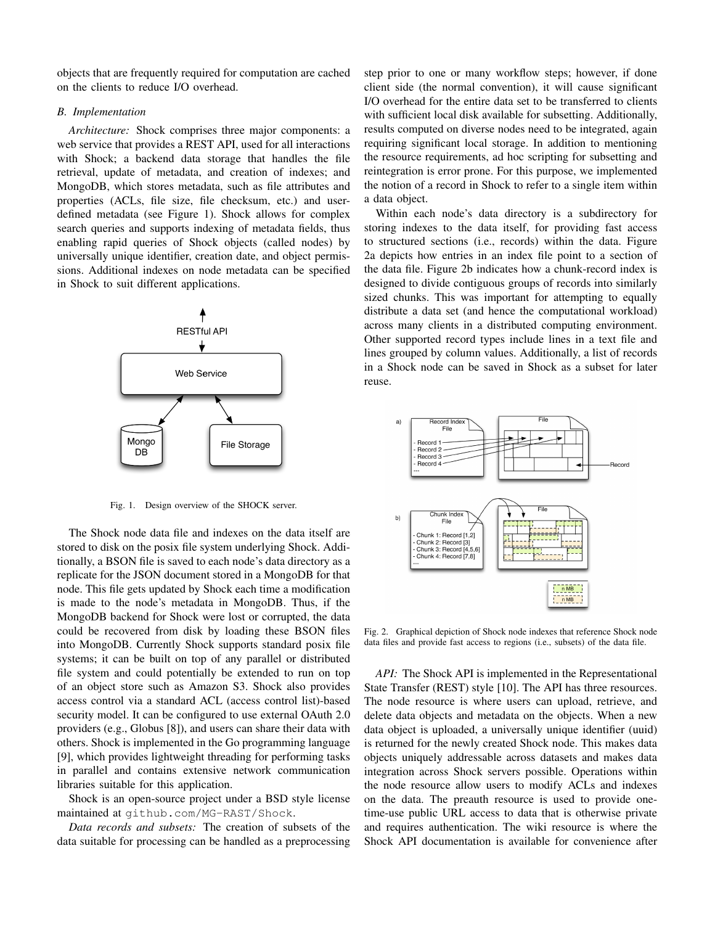objects that are frequently required for computation are cached on the clients to reduce I/O overhead.

## *B. Implementation*

*Architecture:* Shock comprises three major components: a web service that provides a REST API, used for all interactions with Shock; a backend data storage that handles the file retrieval, update of metadata, and creation of indexes; and MongoDB, which stores metadata, such as file attributes and properties (ACLs, file size, file checksum, etc.) and userdefined metadata (see Figure 1). Shock allows for complex search queries and supports indexing of metadata fields, thus enabling rapid queries of Shock objects (called nodes) by universally unique identifier, creation date, and object permissions. Additional indexes on node metadata can be specified in Shock to suit different applications.



Fig. 1. Design overview of the SHOCK server.

The Shock node data file and indexes on the data itself are stored to disk on the posix file system underlying Shock. Additionally, a BSON file is saved to each node's data directory as a replicate for the JSON document stored in a MongoDB for that node. This file gets updated by Shock each time a modification is made to the node's metadata in MongoDB. Thus, if the MongoDB backend for Shock were lost or corrupted, the data could be recovered from disk by loading these BSON files into MongoDB. Currently Shock supports standard posix file systems; it can be built on top of any parallel or distributed file system and could potentially be extended to run on top of an object store such as Amazon S3. Shock also provides access control via a standard ACL (access control list)-based security model. It can be configured to use external OAuth 2.0 providers (e.g., Globus [8]), and users can share their data with others. Shock is implemented in the Go programming language [9], which provides lightweight threading for performing tasks in parallel and contains extensive network communication libraries suitable for this application.

Shock is an open-source project under a BSD style license maintained at github.com/MG-RAST/Shock.

*Data records and subsets:* The creation of subsets of the data suitable for processing can be handled as a preprocessing step prior to one or many workflow steps; however, if done client side (the normal convention), it will cause significant I/O overhead for the entire data set to be transferred to clients with sufficient local disk available for subsetting. Additionally, results computed on diverse nodes need to be integrated, again requiring significant local storage. In addition to mentioning the resource requirements, ad hoc scripting for subsetting and reintegration is error prone. For this purpose, we implemented the notion of a record in Shock to refer to a single item within a data object.

Within each node's data directory is a subdirectory for storing indexes to the data itself, for providing fast access to structured sections (i.e., records) within the data. Figure 2a depicts how entries in an index file point to a section of the data file. Figure 2b indicates how a chunk-record index is designed to divide contiguous groups of records into similarly sized chunks. This was important for attempting to equally distribute a data set (and hence the computational workload) across many clients in a distributed computing environment. Other supported record types include lines in a text file and lines grouped by column values. Additionally, a list of records in a Shock node can be saved in Shock as a subset for later reuse.



Fig. 2. Graphical depiction of Shock node indexes that reference Shock node data files and provide fast access to regions (i.e., subsets) of the data file.

*API:* The Shock API is implemented in the Representational State Transfer (REST) style [10]. The API has three resources. The node resource is where users can upload, retrieve, and delete data objects and metadata on the objects. When a new data object is uploaded, a universally unique identifier (uuid) is returned for the newly created Shock node. This makes data objects uniquely addressable across datasets and makes data integration across Shock servers possible. Operations within the node resource allow users to modify ACLs and indexes on the data. The preauth resource is used to provide onetime-use public URL access to data that is otherwise private and requires authentication. The wiki resource is where the Shock API documentation is available for convenience after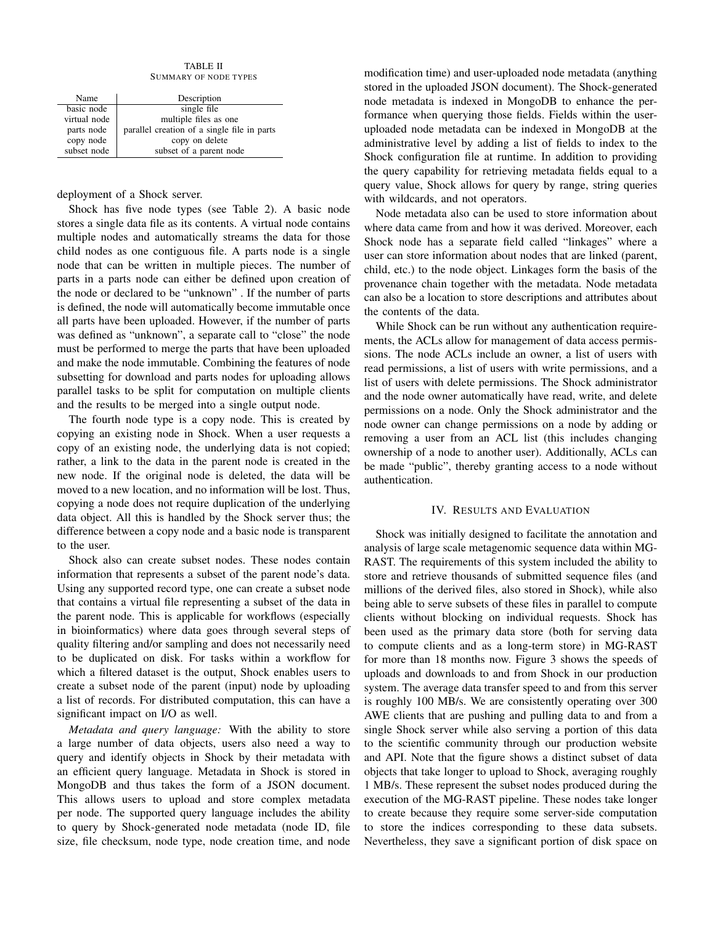TABLE II SUMMARY OF NODE TYPES

| Name         | Description                                 |
|--------------|---------------------------------------------|
| basic node   | single file                                 |
| virtual node | multiple files as one                       |
| parts node   | parallel creation of a single file in parts |
| copy node    | copy on delete                              |
| subset node  | subset of a parent node                     |

deployment of a Shock server.

Shock has five node types (see Table 2). A basic node stores a single data file as its contents. A virtual node contains multiple nodes and automatically streams the data for those child nodes as one contiguous file. A parts node is a single node that can be written in multiple pieces. The number of parts in a parts node can either be defined upon creation of the node or declared to be "unknown" . If the number of parts is defined, the node will automatically become immutable once all parts have been uploaded. However, if the number of parts was defined as "unknown", a separate call to "close" the node must be performed to merge the parts that have been uploaded and make the node immutable. Combining the features of node subsetting for download and parts nodes for uploading allows parallel tasks to be split for computation on multiple clients and the results to be merged into a single output node.

The fourth node type is a copy node. This is created by copying an existing node in Shock. When a user requests a copy of an existing node, the underlying data is not copied; rather, a link to the data in the parent node is created in the new node. If the original node is deleted, the data will be moved to a new location, and no information will be lost. Thus, copying a node does not require duplication of the underlying data object. All this is handled by the Shock server thus; the difference between a copy node and a basic node is transparent to the user.

Shock also can create subset nodes. These nodes contain information that represents a subset of the parent node's data. Using any supported record type, one can create a subset node that contains a virtual file representing a subset of the data in the parent node. This is applicable for workflows (especially in bioinformatics) where data goes through several steps of quality filtering and/or sampling and does not necessarily need to be duplicated on disk. For tasks within a workflow for which a filtered dataset is the output, Shock enables users to create a subset node of the parent (input) node by uploading a list of records. For distributed computation, this can have a significant impact on I/O as well.

*Metadata and query language:* With the ability to store a large number of data objects, users also need a way to query and identify objects in Shock by their metadata with an efficient query language. Metadata in Shock is stored in MongoDB and thus takes the form of a JSON document. This allows users to upload and store complex metadata per node. The supported query language includes the ability to query by Shock-generated node metadata (node ID, file size, file checksum, node type, node creation time, and node modification time) and user-uploaded node metadata (anything stored in the uploaded JSON document). The Shock-generated node metadata is indexed in MongoDB to enhance the performance when querying those fields. Fields within the useruploaded node metadata can be indexed in MongoDB at the administrative level by adding a list of fields to index to the Shock configuration file at runtime. In addition to providing the query capability for retrieving metadata fields equal to a query value, Shock allows for query by range, string queries with wildcards, and not operators.

Node metadata also can be used to store information about where data came from and how it was derived. Moreover, each Shock node has a separate field called "linkages" where a user can store information about nodes that are linked (parent, child, etc.) to the node object. Linkages form the basis of the provenance chain together with the metadata. Node metadata can also be a location to store descriptions and attributes about the contents of the data.

While Shock can be run without any authentication requirements, the ACLs allow for management of data access permissions. The node ACLs include an owner, a list of users with read permissions, a list of users with write permissions, and a list of users with delete permissions. The Shock administrator and the node owner automatically have read, write, and delete permissions on a node. Only the Shock administrator and the node owner can change permissions on a node by adding or removing a user from an ACL list (this includes changing ownership of a node to another user). Additionally, ACLs can be made "public", thereby granting access to a node without authentication.

# IV. RESULTS AND EVALUATION

Shock was initially designed to facilitate the annotation and analysis of large scale metagenomic sequence data within MG-RAST. The requirements of this system included the ability to store and retrieve thousands of submitted sequence files (and millions of the derived files, also stored in Shock), while also being able to serve subsets of these files in parallel to compute clients without blocking on individual requests. Shock has been used as the primary data store (both for serving data to compute clients and as a long-term store) in MG-RAST for more than 18 months now. Figure 3 shows the speeds of uploads and downloads to and from Shock in our production system. The average data transfer speed to and from this server is roughly 100 MB/s. We are consistently operating over 300 AWE clients that are pushing and pulling data to and from a single Shock server while also serving a portion of this data to the scientific community through our production website and API. Note that the figure shows a distinct subset of data objects that take longer to upload to Shock, averaging roughly 1 MB/s. These represent the subset nodes produced during the execution of the MG-RAST pipeline. These nodes take longer to create because they require some server-side computation to store the indices corresponding to these data subsets. Nevertheless, they save a significant portion of disk space on